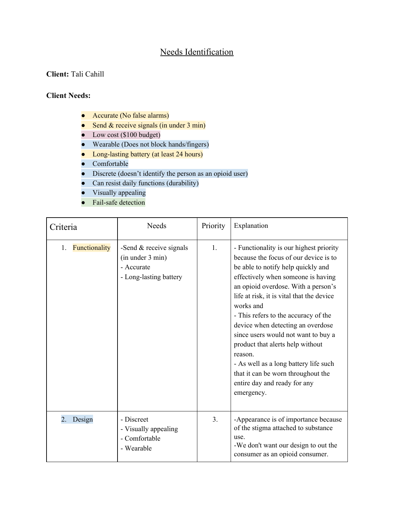## Needs Identification

## **Client:** Tali Cahill

## **Client Needs:**

- Accurate (No false alarms)
- Send  $&$  receive signals (in under 3 min)
- Low cost (\$100 budget)
- Wearable (Does not block hands/fingers)
- Long-lasting battery (at least 24 hours)
- Comfortable
- Discrete (doesn't identify the person as an opioid user)
- Can resist daily functions (durability)
- Visually appealing
- Fail-safe detection

| Criteria            | <b>Needs</b>                                                                          | Priority       | Explanation                                                                                                                                                                                                                                                                                                                                                                                                                                                                                                                                                   |
|---------------------|---------------------------------------------------------------------------------------|----------------|---------------------------------------------------------------------------------------------------------------------------------------------------------------------------------------------------------------------------------------------------------------------------------------------------------------------------------------------------------------------------------------------------------------------------------------------------------------------------------------------------------------------------------------------------------------|
| Functionality<br>1. | -Send $&$ receive signals<br>(in under 3 min)<br>- Accurate<br>- Long-lasting battery | 1 <sub>1</sub> | - Functionality is our highest priority<br>because the focus of our device is to<br>be able to notify help quickly and<br>effectively when someone is having<br>an opioid overdose. With a person's<br>life at risk, it is vital that the device<br>works and<br>- This refers to the accuracy of the<br>device when detecting an overdose<br>since users would not want to buy a<br>product that alerts help without<br>reason.<br>- As well as a long battery life such<br>that it can be worn throughout the<br>entire day and ready for any<br>emergency. |
| 2.<br>Design        | - Discreet<br>- Visually appealing<br>- Comfortable<br>- Wearable                     | 3.             | -Appearance is of importance because<br>of the stigma attached to substance<br>use.<br>-We don't want our design to out the<br>consumer as an opioid consumer.                                                                                                                                                                                                                                                                                                                                                                                                |